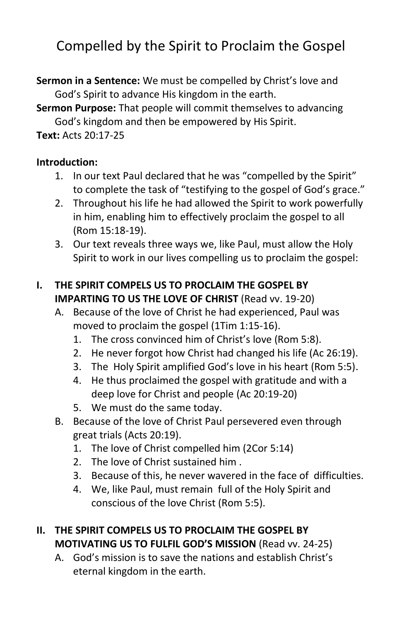# Compelled by the Spirit to Proclaim the Gospel

**Sermon in a Sentence:** We must be compelled by Christ's love and God's Spirit to advance His kingdom in the earth.

**Sermon Purpose:** That people will commit themselves to advancing God's kingdom and then be empowered by His Spirit.

**Text:** Acts 20:17-25

#### **Introduction:**

- 1. In our text Paul declared that he was "compelled by the Spirit" to complete the task of "testifying to the gospel of God's grace."
- 2. Throughout his life he had allowed the Spirit to work powerfully in him, enabling him to effectively proclaim the gospel to all (Rom 15:18-19).
- 3. Our text reveals three ways we, like Paul, must allow the Holy Spirit to work in our lives compelling us to proclaim the gospel:

### **I. THE SPIRIT COMPELS US TO PROCLAIM THE GOSPEL BY IMPARTING TO US THE LOVE OF CHRIST** (Read vv. 19-20)

- A. Because of the love of Christ he had experienced, Paul was moved to proclaim the gospel (1Tim 1:15-16).
	- 1. The cross convinced him of Christ's love (Rom 5:8).
	- 2. He never forgot how Christ had changed his life (Ac 26:19).
	- 3. The Holy Spirit amplified God's love in his heart (Rom 5:5).
	- 4. He thus proclaimed the gospel with gratitude and with a deep love for Christ and people (Ac 20:19-20)
	- 5. We must do the same today.
- B. Because of the love of Christ Paul persevered even through great trials (Acts 20:19).
	- 1. The love of Christ compelled him (2Cor 5:14)
	- 2. The love of Christ sustained him .
	- 3. Because of this, he never wavered in the face of difficulties.
	- 4. We, like Paul, must remain full of the Holy Spirit and conscious of the love Christ (Rom 5:5).

### **II. THE SPIRIT COMPELS US TO PROCLAIM THE GOSPEL BY MOTIVATING US TO FULFIL GOD'S MISSION** (Read vv. 24-25)

A. God's mission is to save the nations and establish Christ's eternal kingdom in the earth.